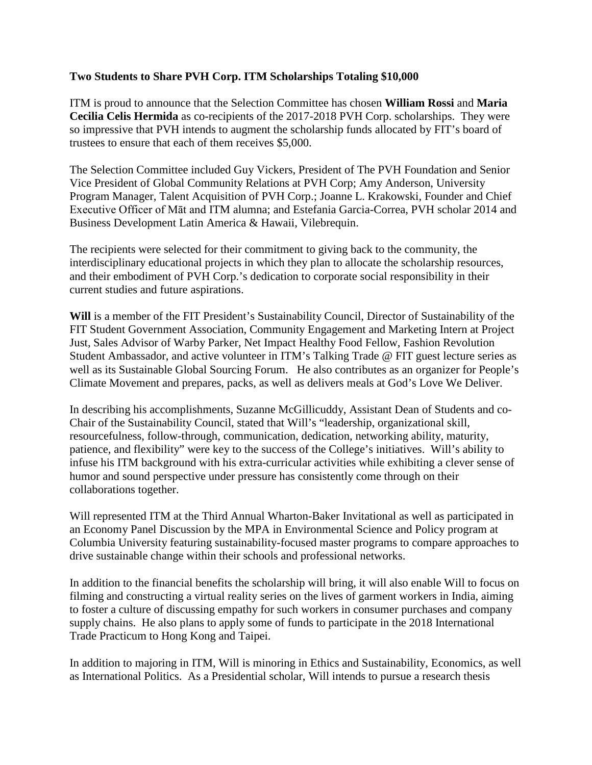## **Two Students to Share PVH Corp. ITM Scholarships Totaling \$10,000**

ITM is proud to announce that the Selection Committee has chosen **William Rossi** and **Maria Cecilia Celis Hermida** as co-recipients of the 2017-2018 PVH Corp. scholarships. They were so impressive that PVH intends to augment the scholarship funds allocated by FIT's board of trustees to ensure that each of them receives \$5,000.

The Selection Committee included Guy Vickers, President of The PVH Foundation and Senior Vice President of Global Community Relations at PVH Corp; Amy Anderson, University Program Manager, Talent Acquisition of PVH Corp.; Joanne L. Krakowski, Founder and Chief Executive Officer of Māt and ITM alumna; and Estefania Garcia-Correa, PVH scholar 2014 and Business Development Latin America & Hawaii, Vilebrequin.

The recipients were selected for their commitment to giving back to the community, the interdisciplinary educational projects in which they plan to allocate the scholarship resources, and their embodiment of PVH Corp.'s dedication to corporate social responsibility in their current studies and future aspirations.

**Will** is a member of the FIT President's Sustainability Council, Director of Sustainability of the FIT Student Government Association, Community Engagement and Marketing Intern at Project Just, Sales Advisor of Warby Parker, Net Impact Healthy Food Fellow, Fashion Revolution Student Ambassador, and active volunteer in ITM's Talking Trade @ FIT guest lecture series as well as its Sustainable Global Sourcing Forum. He also contributes as an organizer for People's Climate Movement and prepares, packs, as well as delivers meals at God's Love We Deliver.

In describing his accomplishments, Suzanne McGillicuddy, Assistant Dean of Students and co-Chair of the Sustainability Council, stated that Will's "leadership, organizational skill, resourcefulness, follow-through, communication, dedication, networking ability, maturity, patience, and flexibility" were key to the success of the College's initiatives. Will's ability to infuse his ITM background with his extra-curricular activities while exhibiting a clever sense of humor and sound perspective under pressure has consistently come through on their collaborations together.

Will represented ITM at the Third Annual Wharton-Baker Invitational as well as participated in an Economy Panel Discussion by the MPA in Environmental Science and Policy program at Columbia University featuring sustainability-focused master programs to compare approaches to drive sustainable change within their schools and professional networks.

In addition to the financial benefits the scholarship will bring, it will also enable Will to focus on filming and constructing a virtual reality series on the lives of garment workers in India, aiming to foster a culture of discussing empathy for such workers in consumer purchases and company supply chains. He also plans to apply some of funds to participate in the 2018 International Trade Practicum to Hong Kong and Taipei.

In addition to majoring in ITM, Will is minoring in Ethics and Sustainability, Economics, as well as International Politics. As a Presidential scholar, Will intends to pursue a research thesis